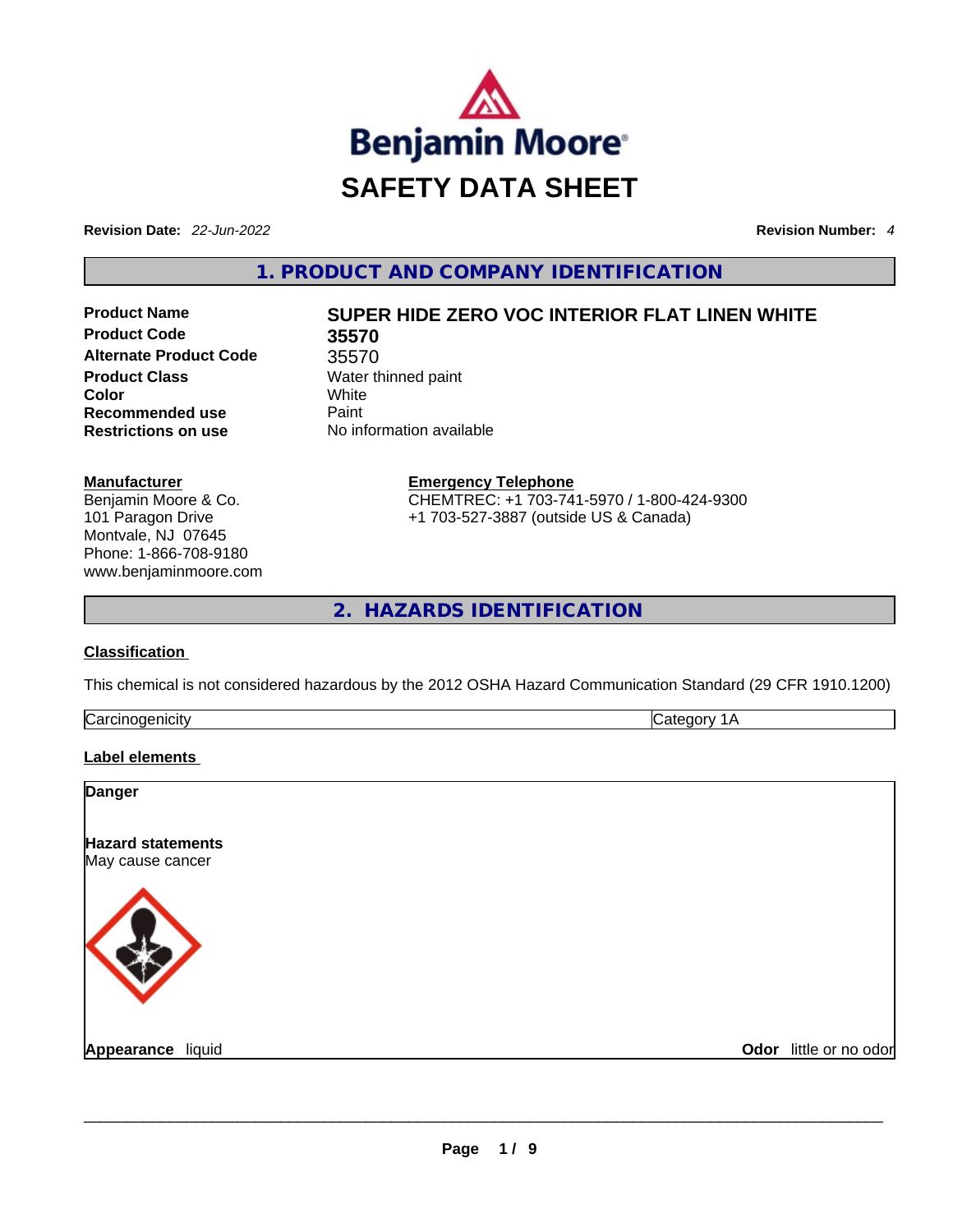

**Revision Date:** *22-Jun-2022* **Revision Number:** *4*

**1. PRODUCT AND COMPANY IDENTIFICATION** 

**Product Code 35570 Alternate Product Code** 35570 **Product Class Water thinned paint Color** White **Recommended use Paint Restrictions on use** No information available

# **Product Name SUPER HIDE ZERO VOC INTERIOR FLAT LINEN WHITE**

**Manufacturer** Benjamin Moore & Co. 101 Paragon Drive Montvale, NJ 07645 Phone: 1-866-708-9180 www.benjaminmoore.com **Emergency Telephone** CHEMTREC: +1 703-741-5970 / 1-800-424-9300 +1 703-527-3887 (outside US & Canada)

**2. HAZARDS IDENTIFICATION** 

## **Classification**

This chemical is not considered hazardous by the 2012 OSHA Hazard Communication Standard (29 CFR 1910.1200)

| ∽<br>וויי ו | $\cdot$ $\sim$ |
|-------------|----------------|
|             |                |

## **Label elements**

| <b>Danger</b>                                |                        |
|----------------------------------------------|------------------------|
| <b>Hazard statements</b><br>May cause cancer |                        |
|                                              |                        |
| Appearance liquid                            | Odor little or no odor |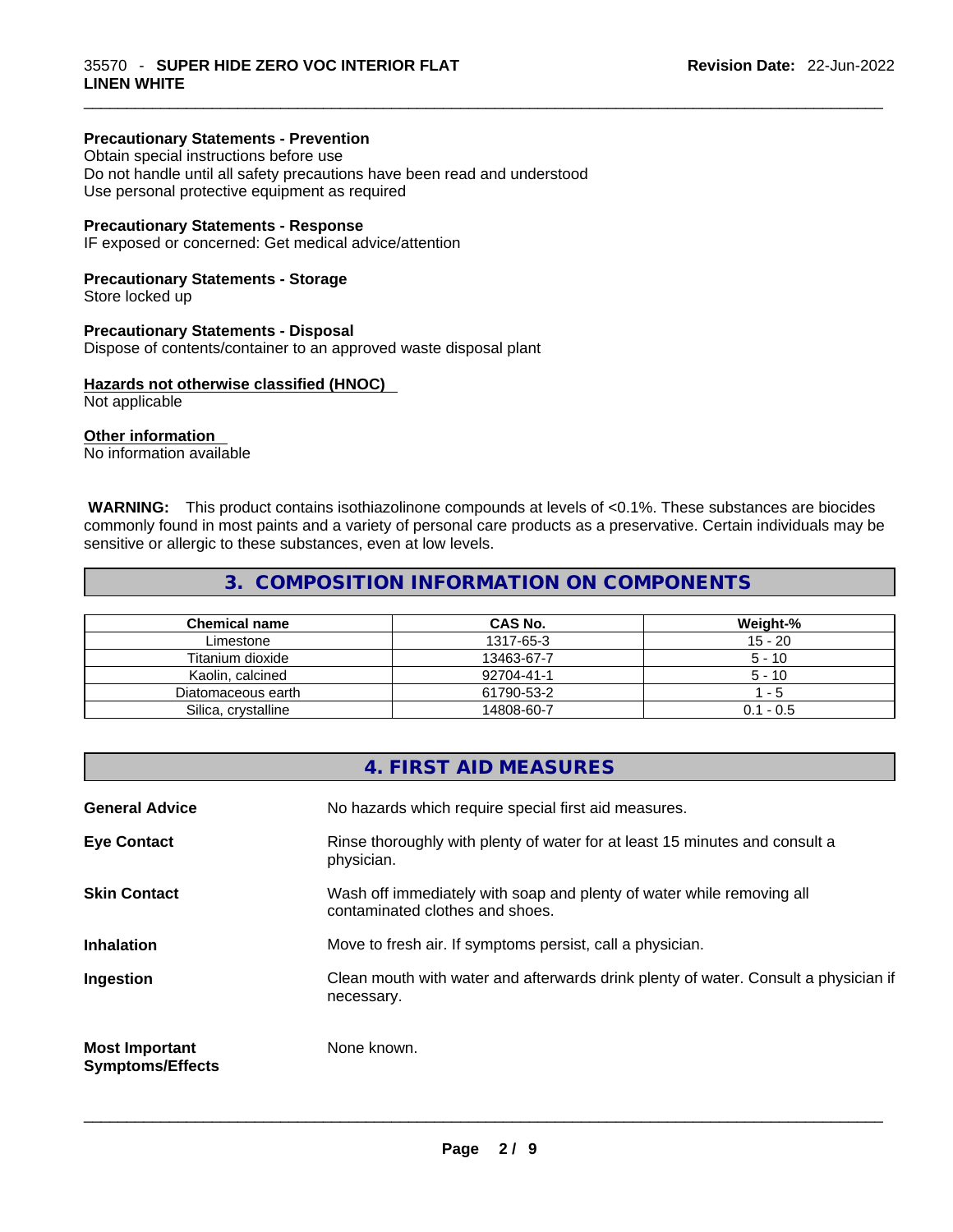## **Precautionary Statements - Prevention**

Obtain special instructions before use Do not handle until all safety precautions have been read and understood Use personal protective equipment as required

#### **Precautionary Statements - Response**

IF exposed or concerned: Get medical advice/attention

#### **Precautionary Statements - Storage**

Store locked up

#### **Precautionary Statements - Disposal**

Dispose of contents/container to an approved waste disposal plant

#### **Hazards not otherwise classified (HNOC)**

Not applicable

#### **Other information**

No information available

 **WARNING:** This product contains isothiazolinone compounds at levels of <0.1%. These substances are biocides commonly found in most paints and a variety of personal care products as a preservative. Certain individuals may be sensitive or allergic to these substances, even at low levels.

 $\_$  ,  $\_$  ,  $\_$  ,  $\_$  ,  $\_$  ,  $\_$  ,  $\_$  ,  $\_$  ,  $\_$  ,  $\_$  ,  $\_$  ,  $\_$  ,  $\_$  ,  $\_$  ,  $\_$  ,  $\_$  ,  $\_$  ,  $\_$  ,  $\_$  ,  $\_$  ,  $\_$  ,  $\_$  ,  $\_$  ,  $\_$  ,  $\_$  ,  $\_$  ,  $\_$  ,  $\_$  ,  $\_$  ,  $\_$  ,  $\_$  ,  $\_$  ,  $\_$  ,  $\_$  ,  $\_$  ,  $\_$  ,  $\_$  ,

## **3. COMPOSITION INFORMATION ON COMPONENTS**

| <b>Chemical name</b> | CAS No.    | Weight-%    |
|----------------------|------------|-------------|
| Limestone            | 1317-65-3  | $15 - 20$   |
| Titanium dioxide     | 13463-67-7 | $5 - 10$    |
| Kaolin, calcined     | 92704-41-1 | $5 - 10$    |
| Diatomaceous earth   | 61790-53-2 | - 5         |
| Silica, crystalline  | 14808-60-7 | $0.1 - 0.5$ |

|                                                  | 4. FIRST AID MEASURES                                                                                    |
|--------------------------------------------------|----------------------------------------------------------------------------------------------------------|
| <b>General Advice</b>                            | No hazards which require special first aid measures.                                                     |
| <b>Eye Contact</b>                               | Rinse thoroughly with plenty of water for at least 15 minutes and consult a<br>physician.                |
| <b>Skin Contact</b>                              | Wash off immediately with soap and plenty of water while removing all<br>contaminated clothes and shoes. |
| <b>Inhalation</b>                                | Move to fresh air. If symptoms persist, call a physician.                                                |
| Ingestion                                        | Clean mouth with water and afterwards drink plenty of water. Consult a physician if<br>necessary.        |
| <b>Most Important</b><br><b>Symptoms/Effects</b> | None known.                                                                                              |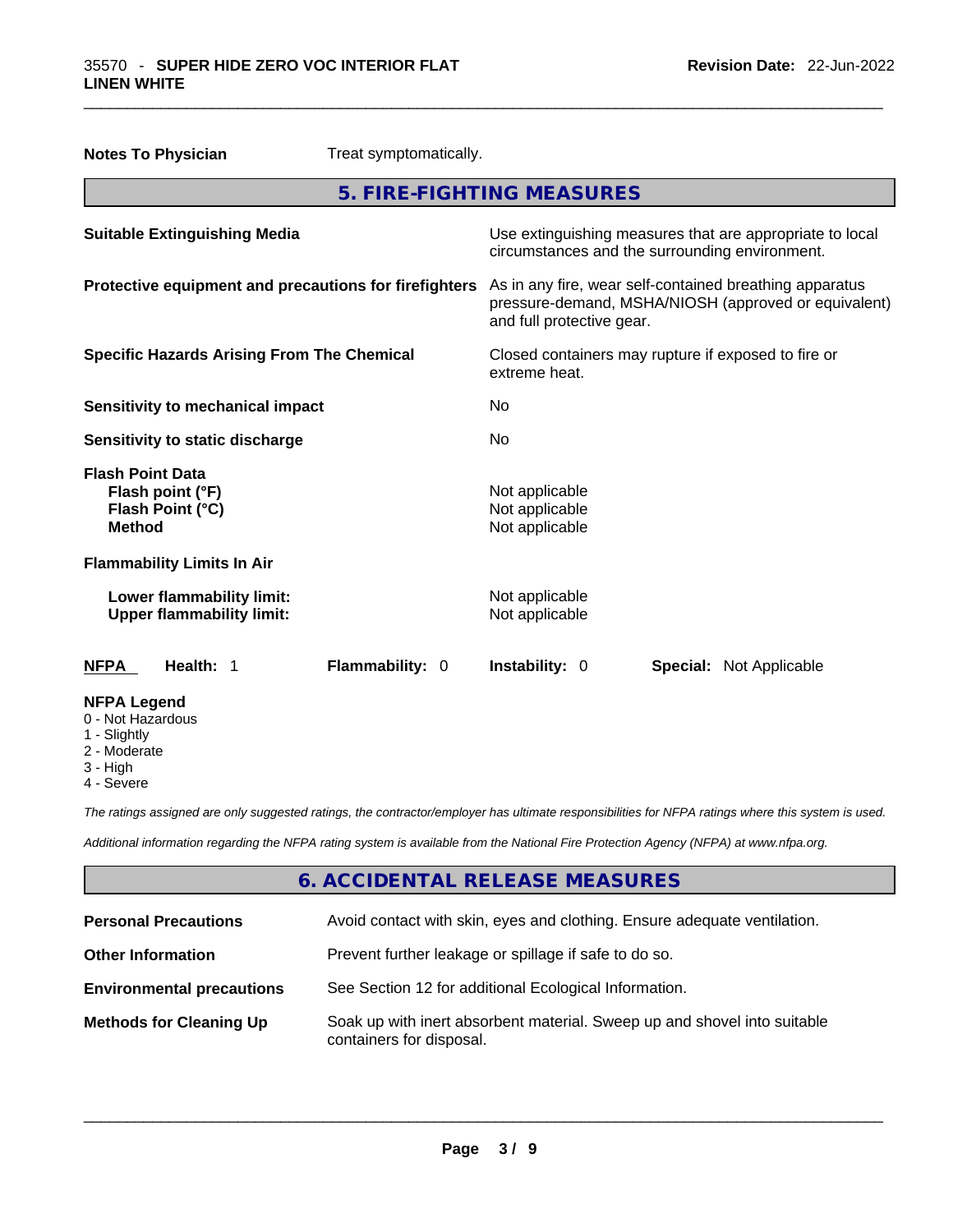|                                                                                  | <b>Notes To Physician</b>                                     | Treat symptomatically.                                                                                                                       |                                                |  |                                                          |
|----------------------------------------------------------------------------------|---------------------------------------------------------------|----------------------------------------------------------------------------------------------------------------------------------------------|------------------------------------------------|--|----------------------------------------------------------|
|                                                                                  |                                                               |                                                                                                                                              | 5. FIRE-FIGHTING MEASURES                      |  |                                                          |
|                                                                                  | <b>Suitable Extinguishing Media</b>                           |                                                                                                                                              | circumstances and the surrounding environment. |  | Use extinguishing measures that are appropriate to local |
| Protective equipment and precautions for firefighters                            |                                                               | As in any fire, wear self-contained breathing apparatus<br>pressure-demand, MSHA/NIOSH (approved or equivalent)<br>and full protective gear. |                                                |  |                                                          |
| <b>Specific Hazards Arising From The Chemical</b>                                |                                                               | Closed containers may rupture if exposed to fire or<br>extreme heat.                                                                         |                                                |  |                                                          |
| <b>Sensitivity to mechanical impact</b>                                          |                                                               | No                                                                                                                                           |                                                |  |                                                          |
| Sensitivity to static discharge                                                  |                                                               | No.                                                                                                                                          |                                                |  |                                                          |
| <b>Flash Point Data</b><br>Flash point (°F)<br>Flash Point (°C)<br><b>Method</b> |                                                               | Not applicable<br>Not applicable<br>Not applicable                                                                                           |                                                |  |                                                          |
|                                                                                  | <b>Flammability Limits In Air</b>                             |                                                                                                                                              |                                                |  |                                                          |
|                                                                                  | Lower flammability limit:<br><b>Upper flammability limit:</b> |                                                                                                                                              | Not applicable<br>Not applicable               |  |                                                          |
| <b>NFPA</b>                                                                      | Health: 1                                                     | <b>Flammability: 0</b>                                                                                                                       | <b>Instability: 0</b>                          |  | <b>Special: Not Applicable</b>                           |
| <b>NFPA Legend</b><br>0 - Not Hazardous<br>1 - Slightly                          |                                                               |                                                                                                                                              |                                                |  |                                                          |

 $\_$  ,  $\_$  ,  $\_$  ,  $\_$  ,  $\_$  ,  $\_$  ,  $\_$  ,  $\_$  ,  $\_$  ,  $\_$  ,  $\_$  ,  $\_$  ,  $\_$  ,  $\_$  ,  $\_$  ,  $\_$  ,  $\_$  ,  $\_$  ,  $\_$  ,  $\_$  ,  $\_$  ,  $\_$  ,  $\_$  ,  $\_$  ,  $\_$  ,  $\_$  ,  $\_$  ,  $\_$  ,  $\_$  ,  $\_$  ,  $\_$  ,  $\_$  ,  $\_$  ,  $\_$  ,  $\_$  ,  $\_$  ,  $\_$  ,

- 2 Moderate
- 3 High
- 

4 - Severe

*The ratings assigned are only suggested ratings, the contractor/employer has ultimate responsibilities for NFPA ratings where this system is used.* 

*Additional information regarding the NFPA rating system is available from the National Fire Protection Agency (NFPA) at www.nfpa.org.* 

# **6. ACCIDENTAL RELEASE MEASURES**

| <b>Personal Precautions</b>      | Avoid contact with skin, eyes and clothing. Ensure adequate ventilation.                             |
|----------------------------------|------------------------------------------------------------------------------------------------------|
| <b>Other Information</b>         | Prevent further leakage or spillage if safe to do so.                                                |
| <b>Environmental precautions</b> | See Section 12 for additional Ecological Information.                                                |
| <b>Methods for Cleaning Up</b>   | Soak up with inert absorbent material. Sweep up and shovel into suitable<br>containers for disposal. |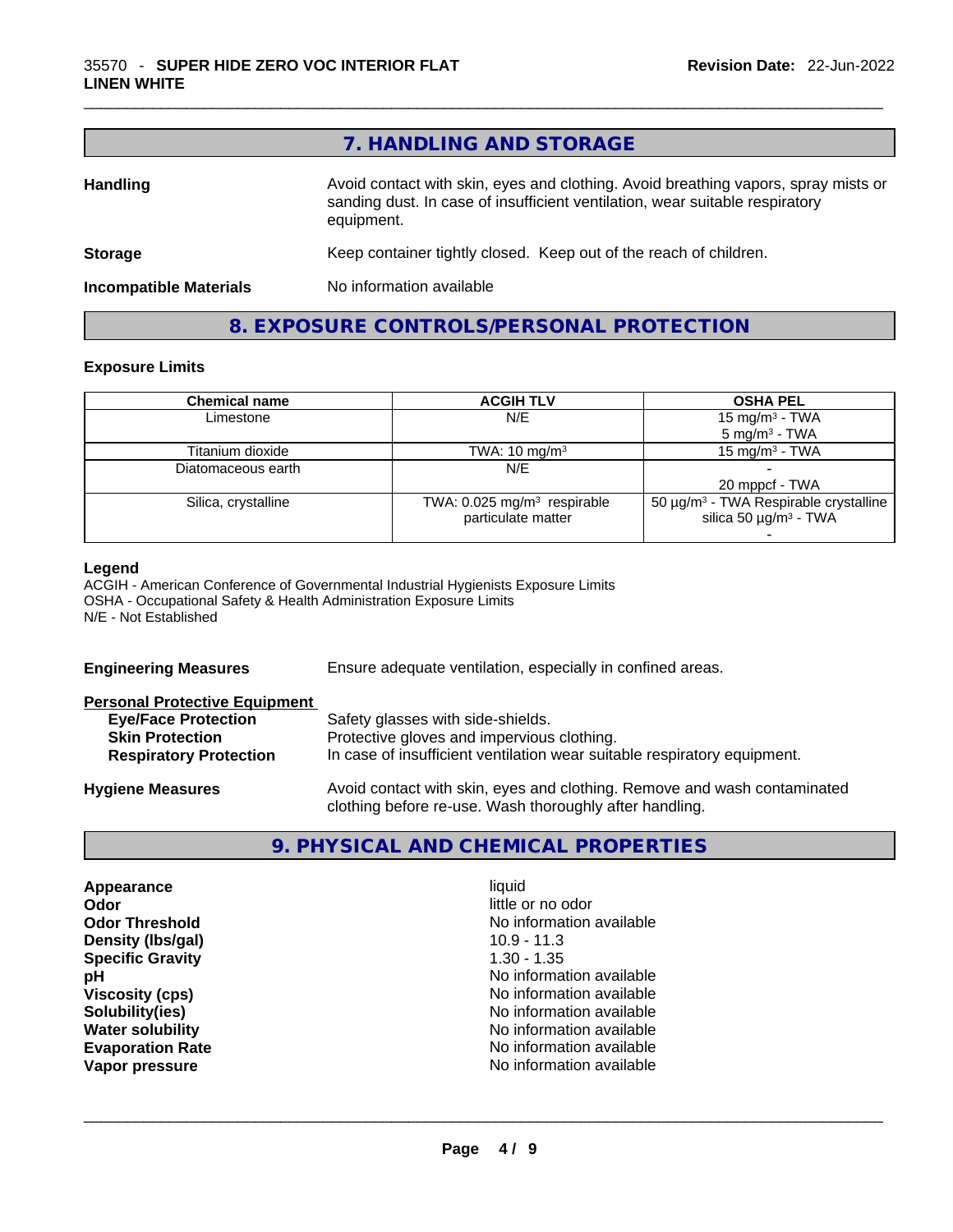|                               | 7. HANDLING AND STORAGE                                                                                                                                                          |
|-------------------------------|----------------------------------------------------------------------------------------------------------------------------------------------------------------------------------|
| <b>Handling</b>               | Avoid contact with skin, eyes and clothing. Avoid breathing vapors, spray mists or<br>sanding dust. In case of insufficient ventilation, wear suitable respiratory<br>equipment. |
| <b>Storage</b>                | Keep container tightly closed. Keep out of the reach of children.                                                                                                                |
| <b>Incompatible Materials</b> | No information available                                                                                                                                                         |

**8. EXPOSURE CONTROLS/PERSONAL PROTECTION** 

## **Exposure Limits**

| <b>Chemical name</b> | <b>ACGIH TLV</b>                        | <b>OSHA PEL</b>                                        |
|----------------------|-----------------------------------------|--------------------------------------------------------|
| Limestone            | N/E                                     | 15 mg/m <sup>3</sup> - TWA                             |
|                      |                                         | $5 \text{ mg/m}^3$ - TWA                               |
| Titanium dioxide     | TWA: $10 \text{ mg/m}^3$                | 15 mg/m $3$ - TWA                                      |
| Diatomaceous earth   | N/E                                     |                                                        |
|                      |                                         | 20 mppcf - TWA                                         |
| Silica, crystalline  | TWA: 0.025 mg/m <sup>3</sup> respirable | 50 $\mu$ g/m <sup>3</sup> - TWA Respirable crystalline |
|                      | particulate matter                      | silica 50 $\mu$ g/m <sup>3</sup> - TWA                 |
|                      |                                         |                                                        |

#### **Legend**

ACGIH - American Conference of Governmental Industrial Hygienists Exposure Limits OSHA - Occupational Safety & Health Administration Exposure Limits N/E - Not Established

| <b>Engineering Measures</b>          | Ensure adequate ventilation, especially in confined areas.                                                                          |  |  |
|--------------------------------------|-------------------------------------------------------------------------------------------------------------------------------------|--|--|
| <b>Personal Protective Equipment</b> |                                                                                                                                     |  |  |
| <b>Eye/Face Protection</b>           | Safety glasses with side-shields.                                                                                                   |  |  |
| <b>Skin Protection</b>               | Protective gloves and impervious clothing.                                                                                          |  |  |
| <b>Respiratory Protection</b>        | In case of insufficient ventilation wear suitable respiratory equipment.                                                            |  |  |
| <b>Hygiene Measures</b>              | Avoid contact with skin, eyes and clothing. Remove and wash contaminated<br>clothing before re-use. Wash thoroughly after handling. |  |  |

# **9. PHYSICAL AND CHEMICAL PROPERTIES**

| Appearance              | liquid                   |  |
|-------------------------|--------------------------|--|
| Odor                    | little or no odor        |  |
| <b>Odor Threshold</b>   | No information available |  |
| Density (Ibs/gal)       | $10.9 - 11.3$            |  |
| <b>Specific Gravity</b> | $1.30 - 1.35$            |  |
| рH                      | No information available |  |
| <b>Viscosity (cps)</b>  | No information available |  |
| Solubility(ies)         | No information available |  |
| <b>Water solubility</b> | No information available |  |
| <b>Evaporation Rate</b> | No information available |  |
| Vapor pressure          | No information available |  |
|                         |                          |  |
|                         |                          |  |
|                         |                          |  |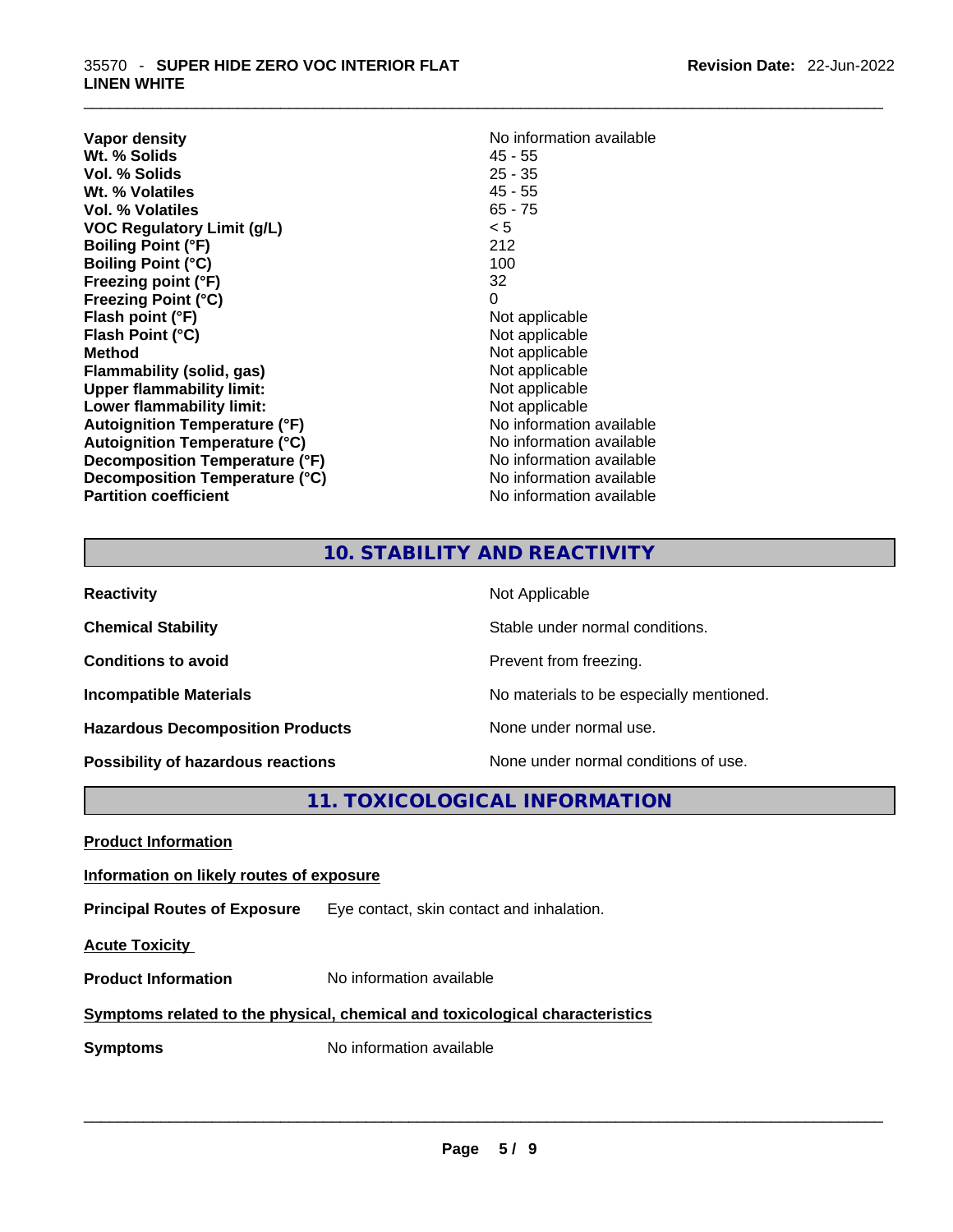| Vapor density<br>Wt. % Solids        | No information available<br>$45 - 55$ |
|--------------------------------------|---------------------------------------|
| Vol. % Solids                        | $25 - 35$                             |
| Wt. % Volatiles                      | $45 - 55$                             |
| Vol. % Volatiles                     | $65 - 75$                             |
| VOC Regulatory Limit (g/L)           | < 5                                   |
| <b>Boiling Point (°F)</b>            | 212                                   |
| <b>Boiling Point (°C)</b>            | 100                                   |
| Freezing point (°F)                  | 32                                    |
| <b>Freezing Point (°C)</b>           | 0                                     |
| Flash point (°F)                     | Not applicable                        |
| Flash Point (°C)                     | Not applicable                        |
| <b>Method</b>                        | Not applicable                        |
| Flammability (solid, gas)            | Not applicable                        |
| <b>Upper flammability limit:</b>     | Not applicable                        |
| Lower flammability limit:            | Not applicable                        |
| <b>Autoignition Temperature (°F)</b> | No information available              |
| <b>Autoignition Temperature (°C)</b> | No information available              |
| Decomposition Temperature (°F)       | No information available              |
| Decomposition Temperature (°C)       | No information available              |
| <b>Partition coefficient</b>         | No information available              |

# **No information available 45 - 55 Not applicable Not applicable** Not applicable **Flammability (solid, gas)** Not applicable **Not applicable Not applicable No information available No information available No information available No information available No information available**

 $\_$  ,  $\_$  ,  $\_$  ,  $\_$  ,  $\_$  ,  $\_$  ,  $\_$  ,  $\_$  ,  $\_$  ,  $\_$  ,  $\_$  ,  $\_$  ,  $\_$  ,  $\_$  ,  $\_$  ,  $\_$  ,  $\_$  ,  $\_$  ,  $\_$  ,  $\_$  ,  $\_$  ,  $\_$  ,  $\_$  ,  $\_$  ,  $\_$  ,  $\_$  ,  $\_$  ,  $\_$  ,  $\_$  ,  $\_$  ,  $\_$  ,  $\_$  ,  $\_$  ,  $\_$  ,  $\_$  ,  $\_$  ,  $\_$  ,

# **10. STABILITY AND REACTIVITY**

| <b>Reactivity</b>                         | Not Applicable                           |
|-------------------------------------------|------------------------------------------|
| <b>Chemical Stability</b>                 | Stable under normal conditions.          |
| <b>Conditions to avoid</b>                | Prevent from freezing.                   |
| <b>Incompatible Materials</b>             | No materials to be especially mentioned. |
| <b>Hazardous Decomposition Products</b>   | None under normal use.                   |
| <b>Possibility of hazardous reactions</b> | None under normal conditions of use.     |

# **11. TOXICOLOGICAL INFORMATION**

|--|--|

# **Information on likely routes of exposure**

**Principal Routes of Exposure** Eye contact, skin contact and inhalation.

**Acute Toxicity** 

**Product Information** No information available

# **Symptoms related to the physical,chemical and toxicological characteristics**

**Symptoms** No information available **Note that the set of the set of the set of the set of the set of the set of the set of the set of the set of the set of the set of the set of the set of the set of the set of the set of**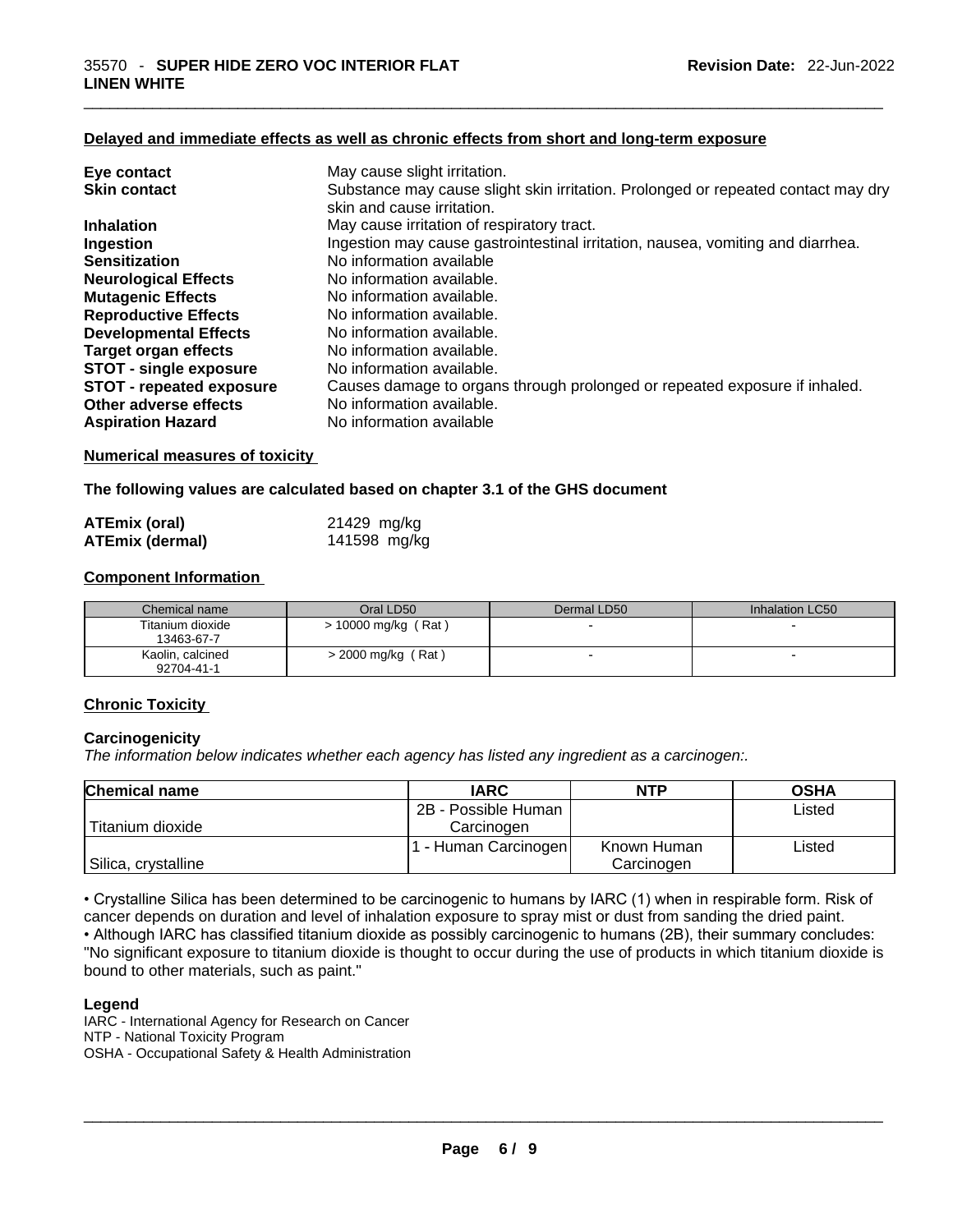### **Delayed and immediate effects as well as chronic effects from short and long-term exposure**

| Eye contact                     | May cause slight irritation.                                                      |
|---------------------------------|-----------------------------------------------------------------------------------|
| <b>Skin contact</b>             | Substance may cause slight skin irritation. Prolonged or repeated contact may dry |
|                                 | skin and cause irritation.                                                        |
| <b>Inhalation</b>               | May cause irritation of respiratory tract.                                        |
| Ingestion                       | Ingestion may cause gastrointestinal irritation, nausea, vomiting and diarrhea.   |
| <b>Sensitization</b>            | No information available                                                          |
| <b>Neurological Effects</b>     | No information available.                                                         |
| <b>Mutagenic Effects</b>        | No information available.                                                         |
| <b>Reproductive Effects</b>     | No information available.                                                         |
| <b>Developmental Effects</b>    | No information available.                                                         |
| <b>Target organ effects</b>     | No information available.                                                         |
| <b>STOT - single exposure</b>   | No information available.                                                         |
| <b>STOT - repeated exposure</b> | Causes damage to organs through prolonged or repeated exposure if inhaled.        |
| Other adverse effects           | No information available.                                                         |
| <b>Aspiration Hazard</b>        | No information available                                                          |
|                                 |                                                                                   |

#### **Numerical measures of toxicity**

**The following values are calculated based on chapter 3.1 of the GHS document**

| <b>ATEmix (oral)</b>   | 21429 mg/kg  |
|------------------------|--------------|
| <b>ATEmix (dermal)</b> | 141598 mg/kg |

#### **Component Information**

| Chemical name                  | Oral LD50             | Dermal LD50              | Inhalation LC50          |
|--------------------------------|-----------------------|--------------------------|--------------------------|
| Titanium dioxide<br>13463-67-7 | $> 10000$ mg/kg (Rat) | $\overline{\phantom{0}}$ |                          |
| Kaolin, calcined<br>92704-41-1 | $>$ 2000 mg/kg (Rat)  | $\overline{\phantom{0}}$ | $\overline{\phantom{0}}$ |

#### **Chronic Toxicity**

#### **Carcinogenicity**

*The information below indicates whether each agency has listed any ingredient as a carcinogen:.* 

| <b>Chemical name</b> | <b>IARC</b>          | <b>NTP</b>  | <b>OSHA</b> |
|----------------------|----------------------|-------------|-------------|
|                      | 2B - Possible Human  |             | Listed      |
| Titanium dioxide     | Carcinogen           |             |             |
|                      | 1 - Human Carcinogen | Known Human | Listed      |
| Silica, crystalline  |                      | Carcinogen  |             |

• Crystalline Silica has been determined to be carcinogenic to humans by IARC (1) when in respirable form. Risk of cancer depends on duration and level of inhalation exposure to spray mist or dust from sanding the dried paint.

• Although IARC has classified titanium dioxide as possibly carcinogenic to humans (2B), their summary concludes: "No significant exposure to titanium dioxide is thought to occur during the use of products in which titanium dioxide is bound to other materials, such as paint."

#### **Legend**

IARC - International Agency for Research on Cancer NTP - National Toxicity Program OSHA - Occupational Safety & Health Administration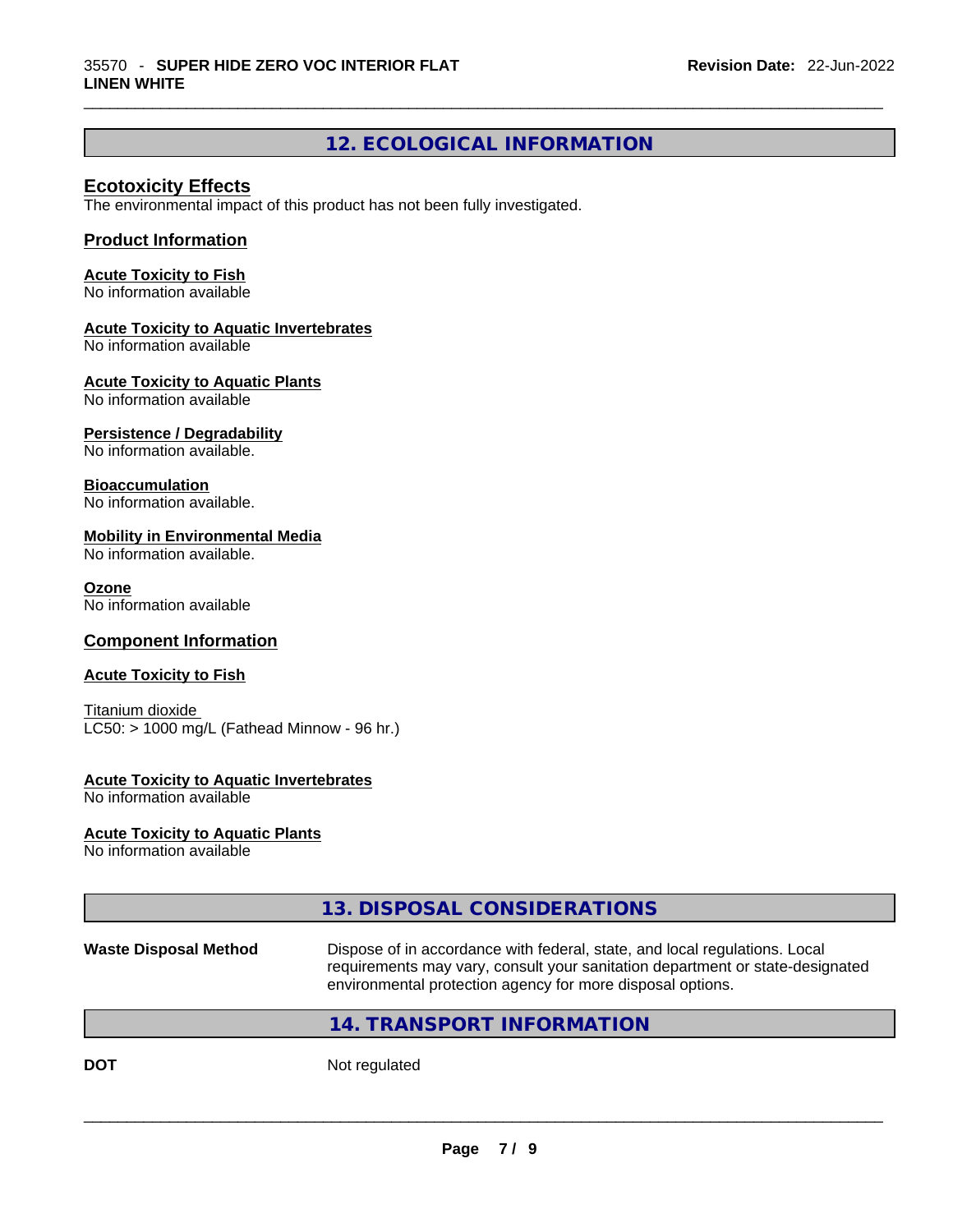# **12. ECOLOGICAL INFORMATION**

 $\_$  ,  $\_$  ,  $\_$  ,  $\_$  ,  $\_$  ,  $\_$  ,  $\_$  ,  $\_$  ,  $\_$  ,  $\_$  ,  $\_$  ,  $\_$  ,  $\_$  ,  $\_$  ,  $\_$  ,  $\_$  ,  $\_$  ,  $\_$  ,  $\_$  ,  $\_$  ,  $\_$  ,  $\_$  ,  $\_$  ,  $\_$  ,  $\_$  ,  $\_$  ,  $\_$  ,  $\_$  ,  $\_$  ,  $\_$  ,  $\_$  ,  $\_$  ,  $\_$  ,  $\_$  ,  $\_$  ,  $\_$  ,  $\_$  ,

## **Ecotoxicity Effects**

The environmental impact of this product has not been fully investigated.

## **Product Information**

#### **Acute Toxicity to Fish**

No information available

#### **Acute Toxicity to Aquatic Invertebrates**

No information available

### **Acute Toxicity to Aquatic Plants**

No information available

### **Persistence / Degradability**

No information available.

### **Bioaccumulation**

No information available.

#### **Mobility in Environmental Media**

No information available.

#### **Ozone**

No information available

## **Component Information**

#### **Acute Toxicity to Fish**

Titanium dioxide  $LC50:$  > 1000 mg/L (Fathead Minnow - 96 hr.)

#### **Acute Toxicity to Aquatic Invertebrates**

No information available

#### **Acute Toxicity to Aquatic Plants**

No information available

# **13. DISPOSAL CONSIDERATIONS**

#### **Waste Disposal Method** Dispose of in accordance with federal, state, and local regulations. Local requirements may vary, consult your sanitation department or state-designated environmental protection agency for more disposal options.

## **14. TRANSPORT INFORMATION**

**DOT** Not regulated  $\blacksquare$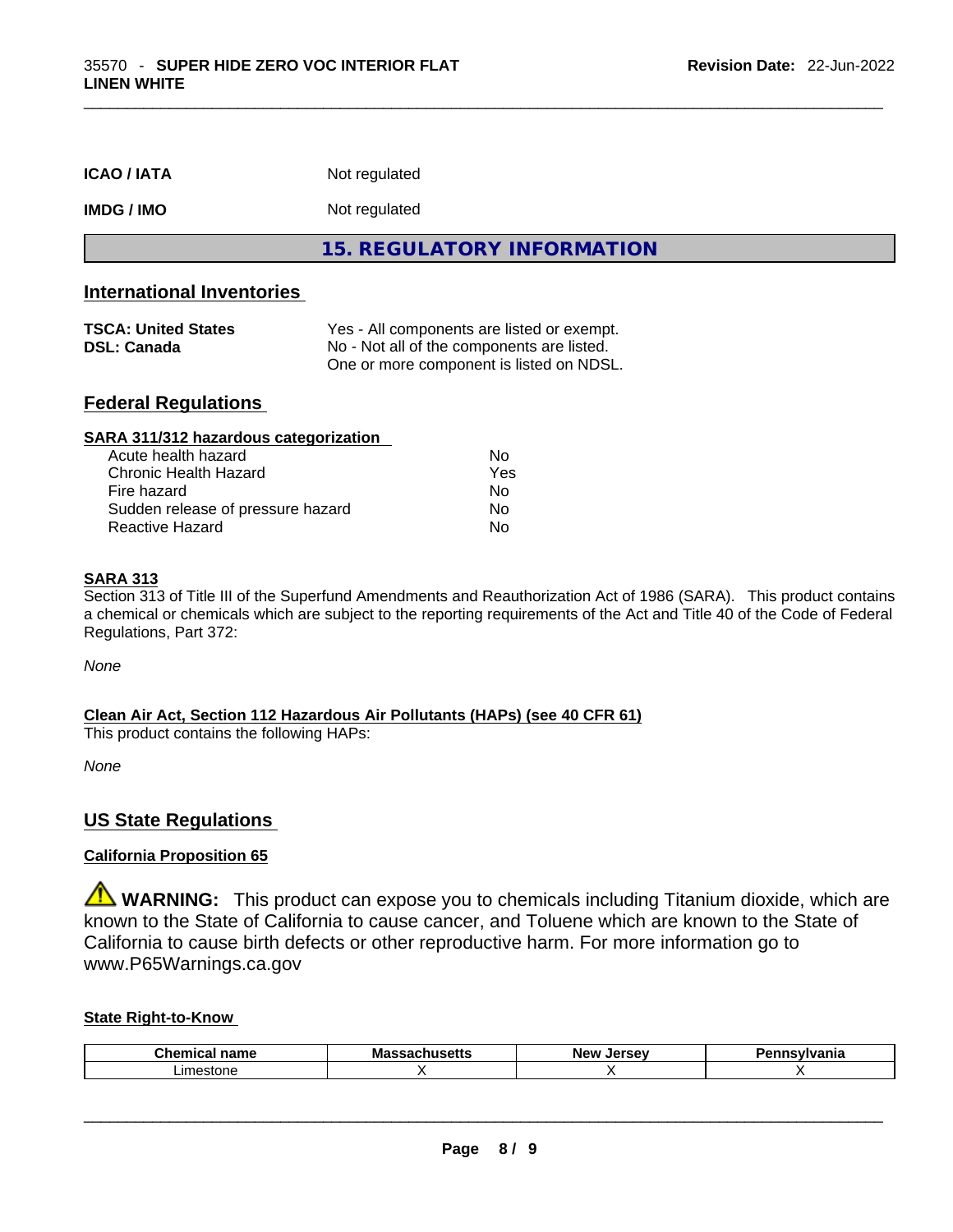| <b>ICAO/IATA</b>                                                                     | Not regulated                                                                          |
|--------------------------------------------------------------------------------------|----------------------------------------------------------------------------------------|
| <b>IMDG/IMO</b>                                                                      | Not regulated                                                                          |
|                                                                                      | 15. REGULATORY INFORMATION                                                             |
| <b>International Inventories</b><br><b>TSCA: United States</b><br><b>DSL: Canada</b> | Yes - All components are listed or exempt.                                             |
|                                                                                      | No - Not all of the components are listed.<br>One or more component is listed on NDSL. |
| <b>Federal Regulations</b>                                                           |                                                                                        |

 $\_$  ,  $\_$  ,  $\_$  ,  $\_$  ,  $\_$  ,  $\_$  ,  $\_$  ,  $\_$  ,  $\_$  ,  $\_$  ,  $\_$  ,  $\_$  ,  $\_$  ,  $\_$  ,  $\_$  ,  $\_$  ,  $\_$  ,  $\_$  ,  $\_$  ,  $\_$  ,  $\_$  ,  $\_$  ,  $\_$  ,  $\_$  ,  $\_$  ,  $\_$  ,  $\_$  ,  $\_$  ,  $\_$  ,  $\_$  ,  $\_$  ,  $\_$  ,  $\_$  ,  $\_$  ,  $\_$  ,  $\_$  ,  $\_$  ,

| SARA 311/312 hazardous categorization |                |
|---------------------------------------|----------------|
| Acute health hazard                   | Nο             |
| Chronic Health Hazard                 | Yes            |
| Fire hazard                           | N <sub>0</sub> |
| Sudden release of pressure hazard     | No             |
| Reactive Hazard                       | No             |

#### **SARA 313**

Section 313 of Title III of the Superfund Amendments and Reauthorization Act of 1986 (SARA). This product contains a chemical or chemicals which are subject to the reporting requirements of the Act and Title 40 of the Code of Federal Regulations, Part 372:

*None*

### **Clean Air Act,Section 112 Hazardous Air Pollutants (HAPs) (see 40 CFR 61)**

This product contains the following HAPs:

*None*

## **US State Regulations**

## **California Proposition 65**

**WARNING:** This product can expose you to chemicals including Titanium dioxide, which are known to the State of California to cause cancer, and Toluene which are known to the State of California to cause birth defects or other reproductive harm. For more information go to www.P65Warnings.ca.gov

#### **State Right-to-Know**

| $\sim$<br>----<br>.<br>∟n∈<br>юш<br>-- | Ma<br>אואס | New<br><b>Larcay</b> | .<br>нс |
|----------------------------------------|------------|----------------------|---------|
| imaetoni<br><b>SIOL</b><br>16          |            |                      |         |